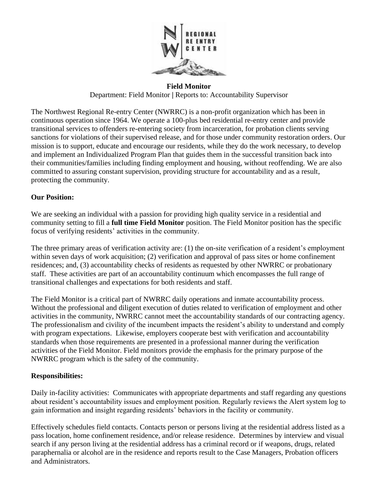

**Field Monitor**

Department: Field Monitor **|** Reports to: Accountability Supervisor

The Northwest Regional Re-entry Center (NWRRC) is a non-profit organization which has been in continuous operation since 1964. We operate a 100-plus bed residential re-entry center and provide transitional services to offenders re-entering society from incarceration, for probation clients serving sanctions for violations of their supervised release, and for those under community restoration orders. Our mission is to support, educate and encourage our residents, while they do the work necessary, to develop and implement an Individualized Program Plan that guides them in the successful transition back into their communities/families including finding employment and housing, without reoffending. We are also committed to assuring constant supervision, providing structure for accountability and as a result, protecting the community.

### **Our Position:**

We are seeking an individual with a passion for providing high quality service in a residential and community setting to fill a **full time Field Monitor** position. The Field Monitor position has the specific focus of verifying residents' activities in the community.

The three primary areas of verification activity are: (1) the on-site verification of a resident's employment within seven days of work acquisition; (2) verification and approval of pass sites or home confinement residences; and, (3) accountability checks of residents as requested by other NWRRC or probationary staff. These activities are part of an accountability continuum which encompasses the full range of transitional challenges and expectations for both residents and staff.

The Field Monitor is a critical part of NWRRC daily operations and inmate accountability process. Without the professional and diligent execution of duties related to verification of employment and other activities in the community, NWRRC cannot meet the accountability standards of our contracting agency. The professionalism and civility of the incumbent impacts the resident's ability to understand and comply with program expectations. Likewise, employers cooperate best with verification and accountability standards when those requirements are presented in a professional manner during the verification activities of the Field Monitor. Field monitors provide the emphasis for the primary purpose of the NWRRC program which is the safety of the community.

#### **Responsibilities:**

Daily in-facility activities: Communicates with appropriate departments and staff regarding any questions about resident's accountability issues and employment position. Regularly reviews the Alert system log to gain information and insight regarding residents' behaviors in the facility or community.

Effectively schedules field contacts. Contacts person or persons living at the residential address listed as a pass location, home confinement residence, and/or release residence. Determines by interview and visual search if any person living at the residential address has a criminal record or if weapons, drugs, related paraphernalia or alcohol are in the residence and reports result to the Case Managers, Probation officers and Administrators.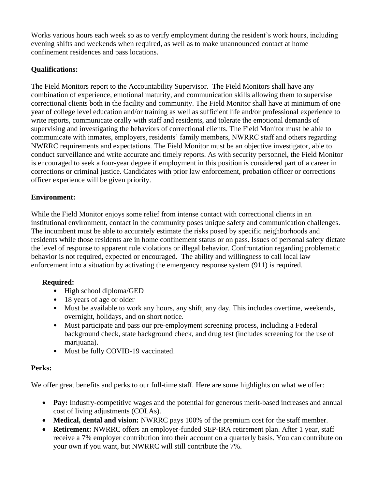Works various hours each week so as to verify employment during the resident's work hours, including evening shifts and weekends when required, as well as to make unannounced contact at home confinement residences and pass locations.

## **Qualifications:**

The Field Monitors report to the Accountability Supervisor. The Field Monitors shall have any combination of experience, emotional maturity, and communication skills allowing them to supervise correctional clients both in the facility and community. The Field Monitor shall have at minimum of one year of college level education and/or training as well as sufficient life and/or professional experience to write reports, communicate orally with staff and residents, and tolerate the emotional demands of supervising and investigating the behaviors of correctional clients. The Field Monitor must be able to communicate with inmates, employers, residents' family members, NWRRC staff and others regarding NWRRC requirements and expectations. The Field Monitor must be an objective investigator, able to conduct surveillance and write accurate and timely reports. As with security personnel, the Field Monitor is encouraged to seek a four-year degree if employment in this position is considered part of a career in corrections or criminal justice. Candidates with prior law enforcement, probation officer or corrections officer experience will be given priority.

## **Environment:**

While the Field Monitor enjoys some relief from intense contact with correctional clients in an institutional environment, contact in the community poses unique safety and communication challenges. The incumbent must be able to accurately estimate the risks posed by specific neighborhoods and residents while those residents are in home confinement status or on pass. Issues of personal safety dictate the level of response to apparent rule violations or illegal behavior. Confrontation regarding problematic behavior is not required, expected or encouraged. The ability and willingness to call local law enforcement into a situation by activating the emergency response system (911) is required.

# **Required:**

- High school diploma/GED
- 18 years of age or older
- Must be available to work any hours, any shift, any day. This includes overtime, weekends, overnight, holidays, and on short notice.
- Must participate and pass our pre-employment screening process, including a Federal background check, state background check, and drug test (includes screening for the use of marijuana).
- Must be fully COVID-19 vaccinated.

# **Perks:**

We offer great benefits and perks to our full-time staff. Here are some highlights on what we offer:

- Pay: Industry-competitive wages and the potential for generous merit-based increases and annual cost of living adjustments (COLAs).
- **Medical, dental and vision:** NWRRC pays 100% of the premium cost for the staff member.
- **Retirement:** NWRRC offers an employer-funded SEP-IRA retirement plan. After 1 year, staff receive a 7% employer contribution into their account on a quarterly basis. You can contribute on your own if you want, but NWRRC will still contribute the 7%.